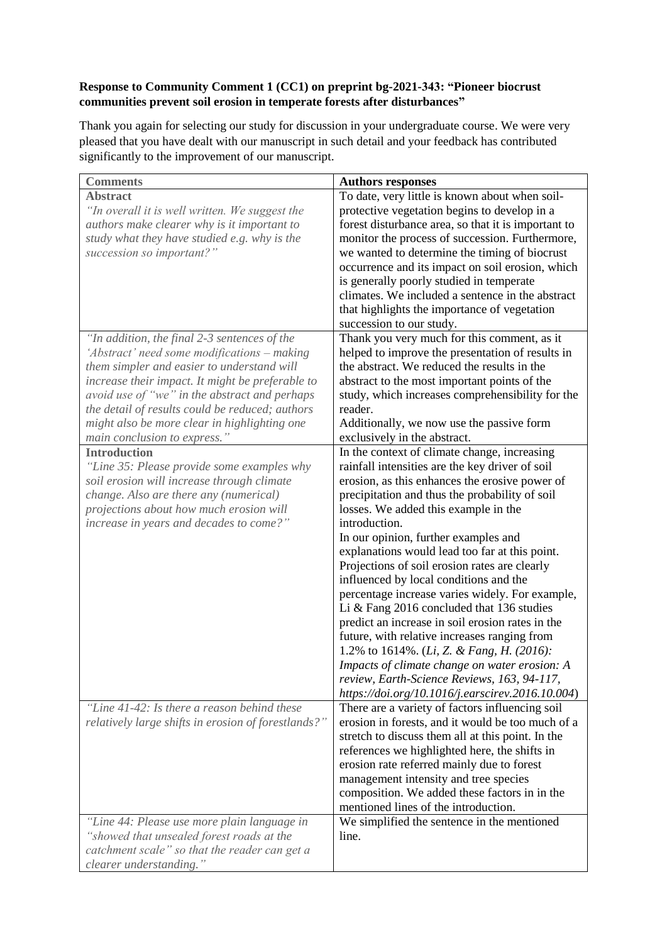## **Response to Community Comment 1 (CC1) on preprint bg-2021-343: "Pioneer biocrust communities prevent soil erosion in temperate forests after disturbances"**

Thank you again for selecting our study for discussion in your undergraduate course. We were very pleased that you have dealt with our manuscript in such detail and your feedback has contributed significantly to the improvement of our manuscript.

| <b>Comments</b>                                     | <b>Authors responses</b>                                      |
|-----------------------------------------------------|---------------------------------------------------------------|
| <b>Abstract</b>                                     | To date, very little is known about when soil-                |
| "In overall it is well written. We suggest the      | protective vegetation begins to develop in a                  |
| authors make clearer why is it important to         | forest disturbance area, so that it is important to           |
| study what they have studied e.g. why is the        | monitor the process of succession. Furthermore,               |
| succession so important?"                           | we wanted to determine the timing of biocrust                 |
|                                                     | occurrence and its impact on soil erosion, which              |
|                                                     | is generally poorly studied in temperate                      |
|                                                     | climates. We included a sentence in the abstract              |
|                                                     | that highlights the importance of vegetation                  |
|                                                     | succession to our study.                                      |
| "In addition, the final 2-3 sentences of the        | Thank you very much for this comment, as it                   |
| 'Abstract' need some modifications - making         | helped to improve the presentation of results in              |
| them simpler and easier to understand will          | the abstract. We reduced the results in the                   |
| increase their impact. It might be preferable to    | abstract to the most important points of the                  |
| avoid use of "we" in the abstract and perhaps       | study, which increases comprehensibility for the              |
| the detail of results could be reduced; authors     | reader.                                                       |
| might also be more clear in highlighting one        | Additionally, we now use the passive form                     |
| main conclusion to express."                        | exclusively in the abstract.                                  |
| <b>Introduction</b>                                 | In the context of climate change, increasing                  |
| "Line 35: Please provide some examples why          | rainfall intensities are the key driver of soil               |
| soil erosion will increase through climate          | erosion, as this enhances the erosive power of                |
| change. Also are there any (numerical)              | precipitation and thus the probability of soil                |
| projections about how much erosion will             | losses. We added this example in the                          |
| increase in years and decades to come?"             | introduction.                                                 |
|                                                     | In our opinion, further examples and                          |
|                                                     | explanations would lead too far at this point.                |
|                                                     | Projections of soil erosion rates are clearly                 |
|                                                     | influenced by local conditions and the                        |
|                                                     | percentage increase varies widely. For example,               |
|                                                     | Li & Fang 2016 concluded that 136 studies                     |
|                                                     | predict an increase in soil erosion rates in the              |
|                                                     | future, with relative increases ranging from                  |
|                                                     | 1.2% to 1614%. ( <i>Li</i> , <i>Z. &amp; Fang, H.</i> (2016): |
|                                                     | Impacts of climate change on water erosion: A                 |
|                                                     | review, Earth-Science Reviews, 163, 94-117,                   |
|                                                     | https://doi.org/10.1016/j.earscirev.2016.10.004)              |
| "Line 41-42: Is there a reason behind these         | There are a variety of factors influencing soil               |
| relatively large shifts in erosion of forestlands?" | erosion in forests, and it would be too much of a             |
|                                                     | stretch to discuss them all at this point. In the             |
|                                                     | references we highlighted here, the shifts in                 |
|                                                     | erosion rate referred mainly due to forest                    |
|                                                     | management intensity and tree species                         |
|                                                     | composition. We added these factors in in the                 |
|                                                     | mentioned lines of the introduction.                          |
| "Line 44: Please use more plain language in         | We simplified the sentence in the mentioned                   |
| "showed that unsealed forest roads at the           | line.                                                         |
| catchment scale" so that the reader can get a       |                                                               |
| clearer understanding."                             |                                                               |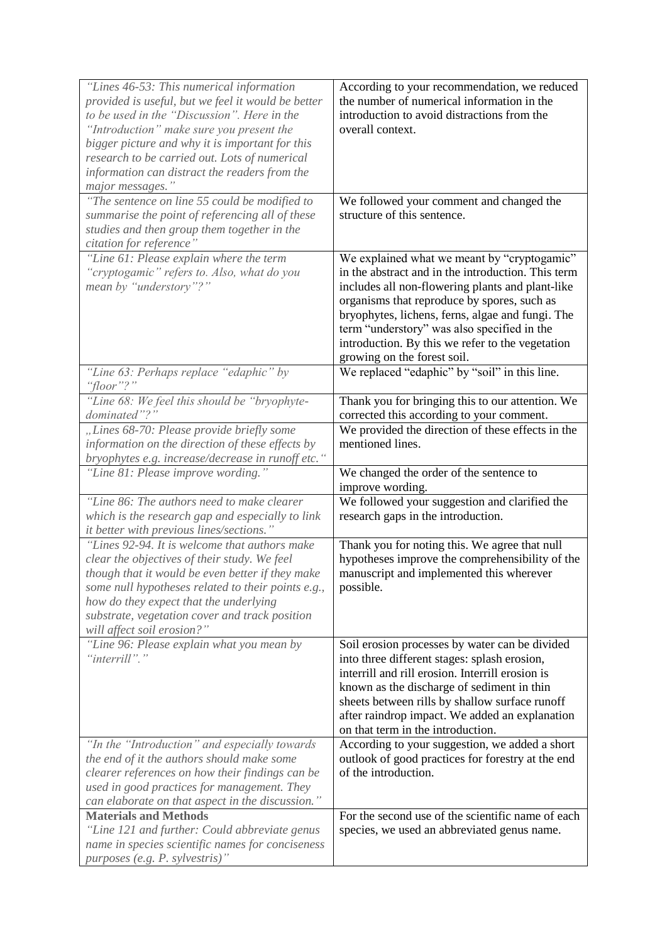| "Lines 46-53: This numerical information<br>provided is useful, but we feel it would be better<br>to be used in the "Discussion". Here in the<br>"Introduction" make sure you present the<br>bigger picture and why it is important for this<br>research to be carried out. Lots of numerical<br>information can distract the readers from the<br>major messages." | According to your recommendation, we reduced<br>the number of numerical information in the<br>introduction to avoid distractions from the<br>overall context.                                                                                                                                                                                                                              |
|--------------------------------------------------------------------------------------------------------------------------------------------------------------------------------------------------------------------------------------------------------------------------------------------------------------------------------------------------------------------|--------------------------------------------------------------------------------------------------------------------------------------------------------------------------------------------------------------------------------------------------------------------------------------------------------------------------------------------------------------------------------------------|
| "The sentence on line 55 could be modified to<br>summarise the point of referencing all of these<br>studies and then group them together in the<br>citation for reference"                                                                                                                                                                                         | We followed your comment and changed the<br>structure of this sentence.                                                                                                                                                                                                                                                                                                                    |
| "Line 61: Please explain where the term<br>"cryptogamic" refers to. Also, what do you<br>mean by "understory"?"                                                                                                                                                                                                                                                    | We explained what we meant by "cryptogamic"<br>in the abstract and in the introduction. This term<br>includes all non-flowering plants and plant-like<br>organisms that reproduce by spores, such as<br>bryophytes, lichens, ferns, algae and fungi. The<br>term "understory" was also specified in the<br>introduction. By this we refer to the vegetation<br>growing on the forest soil. |
| "Line 63: Perhaps replace "edaphic" by<br>"floor"?"                                                                                                                                                                                                                                                                                                                | We replaced "edaphic" by "soil" in this line.                                                                                                                                                                                                                                                                                                                                              |
| "Line 68: We feel this should be "bryophyte-<br>dominated"?'<br>"Lines 68-70: Please provide briefly some<br>information on the direction of these effects by<br>bryophytes e.g. increase/decrease in runoff etc."                                                                                                                                                 | Thank you for bringing this to our attention. We<br>corrected this according to your comment.<br>We provided the direction of these effects in the<br>mentioned lines.                                                                                                                                                                                                                     |
| "Line 81: Please improve wording."                                                                                                                                                                                                                                                                                                                                 | We changed the order of the sentence to<br>improve wording.                                                                                                                                                                                                                                                                                                                                |
| "Line 86: The authors need to make clearer"<br>which is the research gap and especially to link<br>it better with previous lines/sections."                                                                                                                                                                                                                        | We followed your suggestion and clarified the<br>research gaps in the introduction.                                                                                                                                                                                                                                                                                                        |
| "Lines 92-94. It is welcome that authors make<br>clear the objectives of their study. We feel<br>though that it would be even better if they make<br>some null hypotheses related to their points e.g.,<br>how do they expect that the underlying<br>substrate, vegetation cover and track position<br>will affect soil erosion?"                                  | Thank you for noting this. We agree that null<br>hypotheses improve the comprehensibility of the<br>manuscript and implemented this wherever<br>possible.                                                                                                                                                                                                                                  |
| "Line 96: Please explain what you mean by<br>"interrill"."                                                                                                                                                                                                                                                                                                         | Soil erosion processes by water can be divided<br>into three different stages: splash erosion,<br>interrill and rill erosion. Interrill erosion is<br>known as the discharge of sediment in thin<br>sheets between rills by shallow surface runoff<br>after raindrop impact. We added an explanation<br>on that term in the introduction.                                                  |
| "In the "Introduction" and especially towards<br>the end of it the authors should make some<br>clearer references on how their findings can be<br>used in good practices for management. They<br>can elaborate on that aspect in the discussion."                                                                                                                  | According to your suggestion, we added a short<br>outlook of good practices for forestry at the end<br>of the introduction.                                                                                                                                                                                                                                                                |
| <b>Materials and Methods</b><br>"Line 121 and further: Could abbreviate genus<br>name in species scientific names for conciseness<br>purposes (e.g. P. sylvestris)"                                                                                                                                                                                                | For the second use of the scientific name of each<br>species, we used an abbreviated genus name.                                                                                                                                                                                                                                                                                           |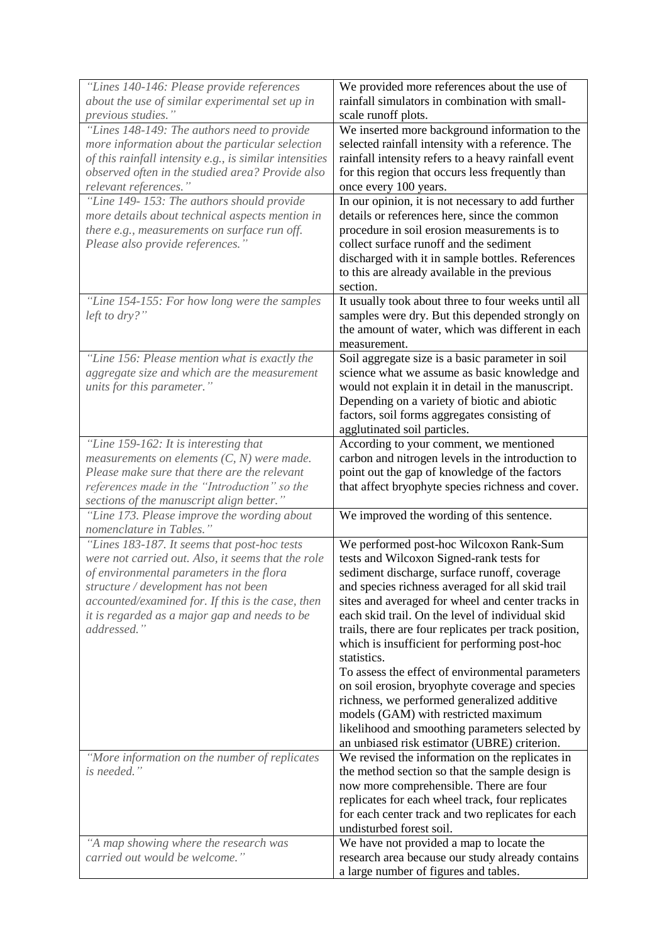| "Lines 140-146: Please provide references                                                    | We provided more references about the use of                                                          |
|----------------------------------------------------------------------------------------------|-------------------------------------------------------------------------------------------------------|
| about the use of similar experimental set up in<br>previous studies."                        | rainfall simulators in combination with small-<br>scale runoff plots.                                 |
| "Lines 148-149: The authors need to provide                                                  | We inserted more background information to the                                                        |
| more information about the particular selection                                              | selected rainfall intensity with a reference. The                                                     |
| of this rainfall intensity e.g., is similar intensities                                      | rainfall intensity refers to a heavy rainfall event                                                   |
| observed often in the studied area? Provide also                                             | for this region that occurs less frequently than                                                      |
| relevant references."                                                                        | once every 100 years.                                                                                 |
| "Line 149-153: The authors should provide                                                    | In our opinion, it is not necessary to add further                                                    |
| more details about technical aspects mention in                                              | details or references here, since the common                                                          |
| there e.g., measurements on surface run off.                                                 | procedure in soil erosion measurements is to                                                          |
| Please also provide references."                                                             | collect surface runoff and the sediment                                                               |
|                                                                                              | discharged with it in sample bottles. References                                                      |
|                                                                                              | to this are already available in the previous                                                         |
|                                                                                              | section.                                                                                              |
| "Line 154-155: For how long were the samples                                                 | It usually took about three to four weeks until all                                                   |
| left to dry?"                                                                                | samples were dry. But this depended strongly on<br>the amount of water, which was different in each   |
|                                                                                              | measurement.                                                                                          |
| "Line 156: Please mention what is exactly the                                                | Soil aggregate size is a basic parameter in soil                                                      |
| aggregate size and which are the measurement                                                 | science what we assume as basic knowledge and                                                         |
| units for this parameter."                                                                   | would not explain it in detail in the manuscript.                                                     |
|                                                                                              | Depending on a variety of biotic and abiotic                                                          |
|                                                                                              | factors, soil forms aggregates consisting of                                                          |
|                                                                                              | agglutinated soil particles.                                                                          |
| "Line 159-162: It is interesting that                                                        | According to your comment, we mentioned                                                               |
| measurements on elements $(C, N)$ were made.                                                 | carbon and nitrogen levels in the introduction to                                                     |
| Please make sure that there are the relevant<br>references made in the "Introduction" so the | point out the gap of knowledge of the factors<br>that affect bryophyte species richness and cover.    |
| sections of the manuscript align better."                                                    |                                                                                                       |
| "Line 173. Please improve the wording about                                                  | We improved the wording of this sentence.                                                             |
| nomenclature in Tables."                                                                     |                                                                                                       |
| "Lines 183-187. It seems that post-hoc tests                                                 | We performed post-hoc Wilcoxon Rank-Sum                                                               |
| were not carried out. Also, it seems that the role                                           | tests and Wilcoxon Signed-rank tests for                                                              |
| of environmental parameters in the flora                                                     | sediment discharge, surface runoff, coverage                                                          |
| structure / development has not been                                                         | and species richness averaged for all skid trail                                                      |
| accounted/examined for. If this is the case, then                                            | sites and averaged for wheel and center tracks in<br>each skid trail. On the level of individual skid |
| it is regarded as a major gap and needs to be<br>addressed."                                 | trails, there are four replicates per track position,                                                 |
|                                                                                              | which is insufficient for performing post-hoc                                                         |
|                                                                                              | statistics.                                                                                           |
|                                                                                              | To assess the effect of environmental parameters                                                      |
|                                                                                              | on soil erosion, bryophyte coverage and species                                                       |
|                                                                                              | richness, we performed generalized additive                                                           |
|                                                                                              | models (GAM) with restricted maximum                                                                  |
|                                                                                              | likelihood and smoothing parameters selected by                                                       |
|                                                                                              | an unbiased risk estimator (UBRE) criterion.                                                          |
| "More information on the number of replicates<br>is needed."                                 | We revised the information on the replicates in                                                       |
|                                                                                              | the method section so that the sample design is<br>now more comprehensible. There are four            |
|                                                                                              | replicates for each wheel track, four replicates                                                      |
|                                                                                              | for each center track and two replicates for each                                                     |
|                                                                                              | undisturbed forest soil.                                                                              |
| "A map showing where the research was                                                        | We have not provided a map to locate the                                                              |
| carried out would be welcome."                                                               | research area because our study already contains                                                      |
|                                                                                              | a large number of figures and tables.                                                                 |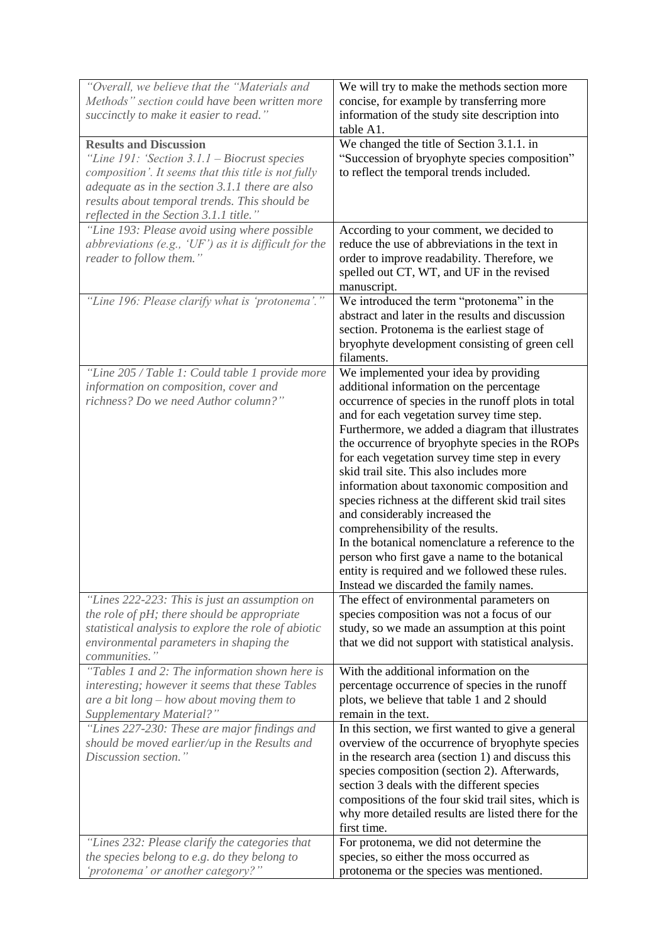| "Overall, we believe that the "Materials and<br>Methods" section could have been written more<br>succinctly to make it easier to read."                                                                                                                                                 | We will try to make the methods section more<br>concise, for example by transferring more<br>information of the study site description into<br>table A1.                                                                                                                                                                                                                                                                                                                                                                                                                                                                                                                                                                                                               |
|-----------------------------------------------------------------------------------------------------------------------------------------------------------------------------------------------------------------------------------------------------------------------------------------|------------------------------------------------------------------------------------------------------------------------------------------------------------------------------------------------------------------------------------------------------------------------------------------------------------------------------------------------------------------------------------------------------------------------------------------------------------------------------------------------------------------------------------------------------------------------------------------------------------------------------------------------------------------------------------------------------------------------------------------------------------------------|
| <b>Results and Discussion</b><br>"Line $191$ : 'Section $3.1.1$ – Biocrust species<br>composition'. It seems that this title is not fully<br>adequate as in the section 3.1.1 there are also<br>results about temporal trends. This should be<br>reflected in the Section 3.1.1 title." | We changed the title of Section 3.1.1. in<br>"Succession of bryophyte species composition"<br>to reflect the temporal trends included.                                                                                                                                                                                                                                                                                                                                                                                                                                                                                                                                                                                                                                 |
| "Line 193: Please avoid using where possible<br>abbreviations (e.g., ' $UF$ ) as it is difficult for the<br>reader to follow them."                                                                                                                                                     | According to your comment, we decided to<br>reduce the use of abbreviations in the text in<br>order to improve readability. Therefore, we<br>spelled out CT, WT, and UF in the revised<br>manuscript.                                                                                                                                                                                                                                                                                                                                                                                                                                                                                                                                                                  |
| "Line 196: Please clarify what is 'protonema'."                                                                                                                                                                                                                                         | We introduced the term "protonema" in the<br>abstract and later in the results and discussion<br>section. Protonema is the earliest stage of<br>bryophyte development consisting of green cell<br>filaments.                                                                                                                                                                                                                                                                                                                                                                                                                                                                                                                                                           |
| "Line 205 / Table 1: Could table 1 provide more<br>information on composition, cover and<br>richness? Do we need Author column?"                                                                                                                                                        | We implemented your idea by providing<br>additional information on the percentage<br>occurrence of species in the runoff plots in total<br>and for each vegetation survey time step.<br>Furthermore, we added a diagram that illustrates<br>the occurrence of bryophyte species in the ROPs<br>for each vegetation survey time step in every<br>skid trail site. This also includes more<br>information about taxonomic composition and<br>species richness at the different skid trail sites<br>and considerably increased the<br>comprehensibility of the results.<br>In the botanical nomenclature a reference to the<br>person who first gave a name to the botanical<br>entity is required and we followed these rules.<br>Instead we discarded the family names. |
| "Lines 222-223: This is just an assumption on<br>the role of pH; there should be appropriate<br>statistical analysis to explore the role of abiotic<br>environmental parameters in shaping the<br>communities."                                                                         | The effect of environmental parameters on<br>species composition was not a focus of our<br>study, so we made an assumption at this point<br>that we did not support with statistical analysis.                                                                                                                                                                                                                                                                                                                                                                                                                                                                                                                                                                         |
| "Tables 1 and 2: The information shown here is<br>interesting; however it seems that these Tables<br>are a bit long $-$ how about moving them to<br>Supplementary Material?"<br>"Lines 227-230: These are major findings and<br>should be moved earlier/up in the Results and           | With the additional information on the<br>percentage occurrence of species in the runoff<br>plots, we believe that table 1 and 2 should<br>remain in the text.<br>In this section, we first wanted to give a general<br>overview of the occurrence of bryophyte species                                                                                                                                                                                                                                                                                                                                                                                                                                                                                                |
| Discussion section."                                                                                                                                                                                                                                                                    | in the research area (section 1) and discuss this<br>species composition (section 2). Afterwards,<br>section 3 deals with the different species<br>compositions of the four skid trail sites, which is<br>why more detailed results are listed there for the<br>first time.                                                                                                                                                                                                                                                                                                                                                                                                                                                                                            |
| "Lines 232: Please clarify the categories that<br>the species belong to e.g. do they belong to<br>'protonema' or another category?"                                                                                                                                                     | For protonema, we did not determine the<br>species, so either the moss occurred as<br>protonema or the species was mentioned.                                                                                                                                                                                                                                                                                                                                                                                                                                                                                                                                                                                                                                          |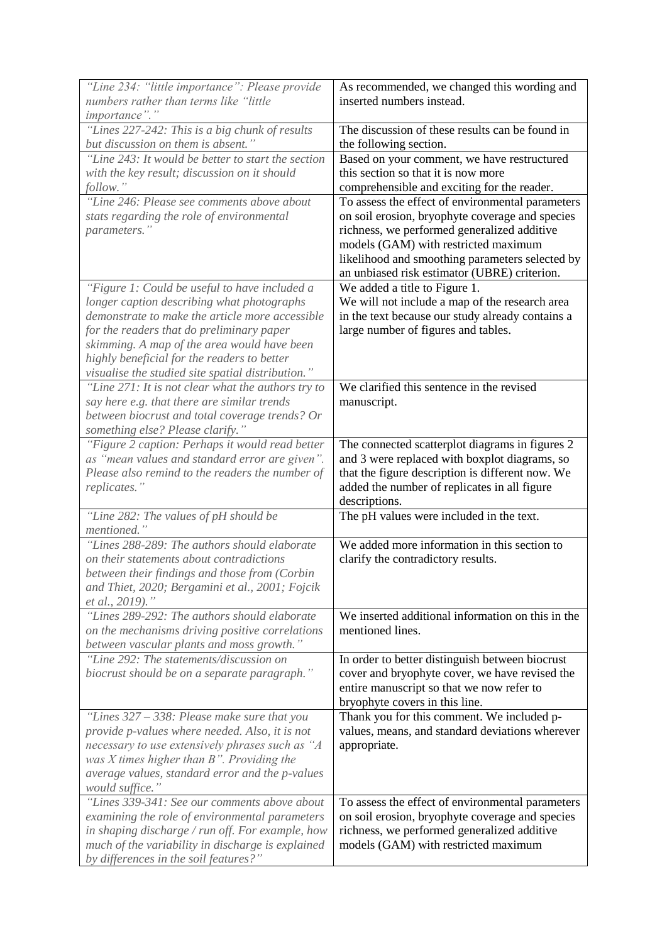| "Line 234: "little importance": Please provide<br>numbers rather than terms like "little<br>importance"."                                                                                                                                                                                                                                      | As recommended, we changed this wording and<br>inserted numbers instead.                                                                                                                                                                                                                      |
|------------------------------------------------------------------------------------------------------------------------------------------------------------------------------------------------------------------------------------------------------------------------------------------------------------------------------------------------|-----------------------------------------------------------------------------------------------------------------------------------------------------------------------------------------------------------------------------------------------------------------------------------------------|
| "Lines 227-242: This is a big chunk of results<br>but discussion on them is absent."                                                                                                                                                                                                                                                           | The discussion of these results can be found in<br>the following section.                                                                                                                                                                                                                     |
| "Line 243: It would be better to start the section<br>with the key result; discussion on it should<br>follow."                                                                                                                                                                                                                                 | Based on your comment, we have restructured<br>this section so that it is now more<br>comprehensible and exciting for the reader.                                                                                                                                                             |
| "Line 246: Please see comments above about<br>stats regarding the role of environmental<br>parameters."                                                                                                                                                                                                                                        | To assess the effect of environmental parameters<br>on soil erosion, bryophyte coverage and species<br>richness, we performed generalized additive<br>models (GAM) with restricted maximum<br>likelihood and smoothing parameters selected by<br>an unbiased risk estimator (UBRE) criterion. |
| "Figure 1: Could be useful to have included a<br>longer caption describing what photographs<br>demonstrate to make the article more accessible<br>for the readers that do preliminary paper<br>skimming. A map of the area would have been<br>highly beneficial for the readers to better<br>visualise the studied site spatial distribution." | We added a title to Figure 1.<br>We will not include a map of the research area<br>in the text because our study already contains a<br>large number of figures and tables.                                                                                                                    |
| "Line 271: It is not clear what the authors try to<br>say here e.g. that there are similar trends<br>between biocrust and total coverage trends? Or<br>something else? Please clarify."                                                                                                                                                        | We clarified this sentence in the revised<br>manuscript.                                                                                                                                                                                                                                      |
| "Figure 2 caption: Perhaps it would read better<br>as "mean values and standard error are given".<br>Please also remind to the readers the number of<br>replicates."                                                                                                                                                                           | The connected scatterplot diagrams in figures 2<br>and 3 were replaced with boxplot diagrams, so<br>that the figure description is different now. We<br>added the number of replicates in all figure<br>descriptions.                                                                         |
| "Line 282: The values of pH should be<br>mentioned."                                                                                                                                                                                                                                                                                           | The pH values were included in the text.                                                                                                                                                                                                                                                      |
| "Lines 288-289: The authors should elaborate<br>on their statements about contradictions<br>between their findings and those from (Corbin<br>and Thiet, 2020; Bergamini et al., 2001; Fojcik<br>et al., 2019)."                                                                                                                                | We added more information in this section to<br>clarify the contradictory results.                                                                                                                                                                                                            |
| "Lines 289-292: The authors should elaborate<br>on the mechanisms driving positive correlations<br>between vascular plants and moss growth."                                                                                                                                                                                                   | We inserted additional information on this in the<br>mentioned lines.                                                                                                                                                                                                                         |
| "Line 292: The statements/discussion on<br>biocrust should be on a separate paragraph."                                                                                                                                                                                                                                                        | In order to better distinguish between biocrust<br>cover and bryophyte cover, we have revised the<br>entire manuscript so that we now refer to<br>bryophyte covers in this line.                                                                                                              |
| "Lines $327 - 338$ : Please make sure that you<br>provide p-values where needed. Also, it is not<br>necessary to use extensively phrases such as "A<br>was $X$ times higher than $B$ ". Providing the<br>average values, standard error and the p-values<br>would suffice."                                                                    | Thank you for this comment. We included p-<br>values, means, and standard deviations wherever<br>appropriate.                                                                                                                                                                                 |
| "Lines 339-341: See our comments above about<br>examining the role of environmental parameters<br>in shaping discharge / run off. For example, how<br>much of the variability in discharge is explained<br>by differences in the soil features?"                                                                                               | To assess the effect of environmental parameters<br>on soil erosion, bryophyte coverage and species<br>richness, we performed generalized additive<br>models (GAM) with restricted maximum                                                                                                    |